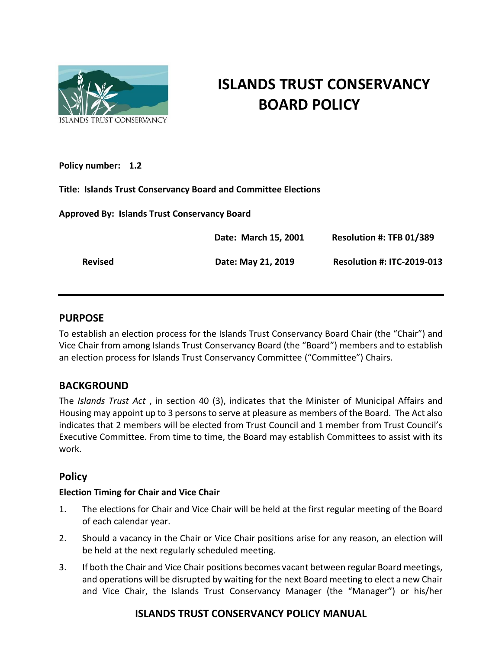

# **ISLANDS TRUST CONSERVANCY BOARD POLICY**

**Policy number: 1.2**

**Title: Islands Trust Conservancy Board and Committee Elections** 

**Approved By: Islands Trust Conservancy Board** 

|                | Date: March 15, 2001 | Resolution #: TFB 01/389          |
|----------------|----------------------|-----------------------------------|
| <b>Revised</b> | Date: May 21, 2019   | <b>Resolution #: ITC-2019-013</b> |

## **PURPOSE**

To establish an election process for the Islands Trust Conservancy Board Chair (the "Chair") and Vice Chair from among Islands Trust Conservancy Board (the "Board") members and to establish an election process for Islands Trust Conservancy Committee ("Committee") Chairs.

# **BACKGROUND**

The *Islands Trust Act* , in section 40 (3), indicates that the Minister of Municipal Affairs and Housing may appoint up to 3 persons to serve at pleasure as members of the Board. The Act also indicates that 2 members will be elected from Trust Council and 1 member from Trust Council's Executive Committee. From time to time, the Board may establish Committees to assist with its work.

# **Policy**

## **Election Timing for Chair and Vice Chair**

- 1. The elections for Chair and Vice Chair will be held at the first regular meeting of the Board of each calendar year.
- 2. Should a vacancy in the Chair or Vice Chair positions arise for any reason, an election will be held at the next regularly scheduled meeting.
- 3. If both the Chair and Vice Chair positions becomes vacant between regular Board meetings, and operations will be disrupted by waiting for the next Board meeting to elect a new Chair and Vice Chair, the Islands Trust Conservancy Manager (the "Manager") or his/her

# **ISLANDS TRUST CONSERVANCY POLICY MANUAL**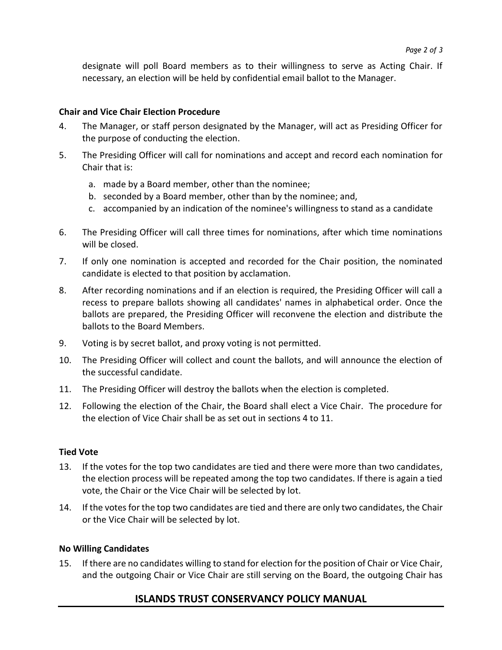designate will poll Board members as to their willingness to serve as Acting Chair. If necessary, an election will be held by confidential email ballot to the Manager.

#### **Chair and Vice Chair Election Procedure**

- 4. The Manager, or staff person designated by the Manager, will act as Presiding Officer for the purpose of conducting the election.
- 5. The Presiding Officer will call for nominations and accept and record each nomination for Chair that is:
	- a. made by a Board member, other than the nominee;
	- b. seconded by a Board member, other than by the nominee; and,
	- c. accompanied by an indication of the nominee's willingness to stand as a candidate
- 6. The Presiding Officer will call three times for nominations, after which time nominations will be closed.
- 7. If only one nomination is accepted and recorded for the Chair position, the nominated candidate is elected to that position by acclamation.
- 8. After recording nominations and if an election is required, the Presiding Officer will call a recess to prepare ballots showing all candidates' names in alphabetical order. Once the ballots are prepared, the Presiding Officer will reconvene the election and distribute the ballots to the Board Members.
- 9. Voting is by secret ballot, and proxy voting is not permitted.
- 10. The Presiding Officer will collect and count the ballots, and will announce the election of the successful candidate.
- 11. The Presiding Officer will destroy the ballots when the election is completed.
- 12. Following the election of the Chair, the Board shall elect a Vice Chair. The procedure for the election of Vice Chair shall be as set out in sections 4 to 11.

#### **Tied Vote**

- 13. If the votes for the top two candidates are tied and there were more than two candidates, the election process will be repeated among the top two candidates. If there is again a tied vote, the Chair or the Vice Chair will be selected by lot.
- 14. If the votes for the top two candidates are tied and there are only two candidates, the Chair or the Vice Chair will be selected by lot.

#### **No Willing Candidates**

15. If there are no candidates willing to stand for election for the position of Chair or Vice Chair, and the outgoing Chair or Vice Chair are still serving on the Board, the outgoing Chair has

# **ISLANDS TRUST CONSERVANCY POLICY MANUAL**